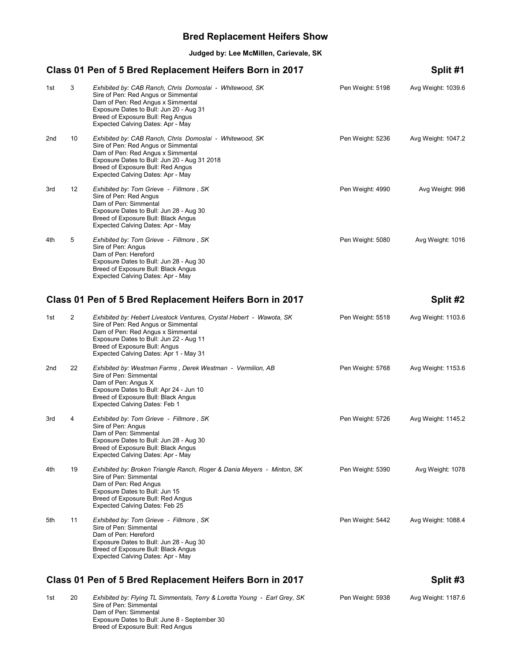### **Bred Replacement Heifers Show**

**Judged by: Lee McMillen, Carievale, SK**

### Class 01 Pen of 5 Bred Replacement Heifers Born in 2017 Split #1

| 1st | 3  | Exhibited by: CAB Ranch, Chris Domoslai - Whitewood, SK<br>Sire of Pen: Red Angus or Simmental<br>Dam of Pen: Red Angus x Simmental<br>Exposure Dates to Bull: Jun 20 - Aug 31<br>Breed of Exposure Bull: Reg Angus<br>Expected Calving Dates: Apr - May               | Pen Weight: 5198 | Avg Weight: 1039.6 |
|-----|----|------------------------------------------------------------------------------------------------------------------------------------------------------------------------------------------------------------------------------------------------------------------------|------------------|--------------------|
| 2nd | 10 | Exhibited by: CAB Ranch, Chris Domoslai - Whitewood, SK<br>Sire of Pen: Red Angus or Simmental<br>Dam of Pen: Red Angus x Simmental<br>Exposure Dates to Bull: Jun 20 - Aug 31 2018<br>Breed of Exposure Bull: Red Angus<br>Expected Calving Dates: Apr - May          | Pen Weight: 5236 | Avg Weight: 1047.2 |
| 3rd | 12 | Exhibited by: Tom Grieve - Fillmore, SK<br>Sire of Pen: Red Angus<br>Dam of Pen: Simmental<br>Exposure Dates to Bull: Jun 28 - Aug 30<br>Breed of Exposure Bull: Black Angus<br>Expected Calving Dates: Apr - May                                                      | Pen Weight: 4990 | Avg Weight: 998    |
| 4th | 5  | Exhibited by: Tom Grieve - Fillmore, SK<br>Sire of Pen: Angus<br>Dam of Pen: Hereford<br>Exposure Dates to Bull: Jun 28 - Aug 30<br>Breed of Exposure Bull: Black Angus<br>Expected Calving Dates: Apr - May                                                           | Pen Weight: 5080 | Avg Weight: 1016   |
|     |    | Class 01 Pen of 5 Bred Replacement Heifers Born in 2017                                                                                                                                                                                                                |                  | Split #2           |
| 1st | 2  | Exhibited by: Hebert Livestock Ventures, Crystal Hebert - Wawota, SK<br>Sire of Pen: Red Angus or Simmental<br>Dam of Pen: Red Angus x Simmental<br>Exposure Dates to Bull: Jun 22 - Aug 11<br>Breed of Exposure Bull: Angus<br>Expected Calving Dates: Apr 1 - May 31 | Pen Weight: 5518 | Avg Weight: 1103.6 |
| 2nd | 22 | Exhibited by: Westman Farms, Derek Westman - Vermilion, AB<br>Sire of Pen: Simmental<br>Dam of Pen: Angus X<br>Exposure Dates to Bull: Apr 24 - Jun 10<br>Breed of Exposure Bull: Black Angus<br><b>Expected Calving Dates: Feb 1</b>                                  | Pen Weight: 5768 | Avg Weight: 1153.6 |
| 3rd | 4  | Exhibited by: Tom Grieve - Fillmore, SK<br>Sire of Pen: Angus<br>Dam of Pen: Simmental<br>Exposure Dates to Bull: Jun 28 - Aug 30<br>Breed of Exposure Bull: Black Angus<br>Expected Calving Dates: Apr - May                                                          | Pen Weight: 5726 | Avg Weight: 1145.2 |
| 4th | 19 | Exhibited by: Broken Triangle Ranch, Roger & Dania Meyers - Minton, SK<br>Sire of Pen: Simmental<br>Dam of Pen: Red Angus<br>Exposure Dates to Bull: Jun 15<br>Breed of Exposure Bull: Red Angus<br>Expected Calving Dates: Feb 25                                     | Pen Weight: 5390 | Avg Weight: 1078   |
| 5th | 11 | Exhibited by: Tom Grieve - Fillmore, SK<br>Sire of Pen: Simmental<br>Dam of Pen: Hereford<br>Exposure Dates to Bull: Jun 28 - Aug 30<br>Breed of Exposure Bull: Black Angus<br>Expected Calving Dates: Apr - May                                                       | Pen Weight: 5442 | Avg Weight: 1088.4 |
|     |    | Class 01 Pen of 5 Bred Replacement Heifers Born in 2017                                                                                                                                                                                                                |                  | Split #3           |
|     |    |                                                                                                                                                                                                                                                                        |                  |                    |

1st 20 *Exhibited by: Flying TL Simmentals, Terry & Loretta Young - Earl Grey, SK* Pen Weight: 5938 Avg Weight: 1187.6 Sire of Pen: Simmental Dam of Pen: Simmental Exposure Dates to Bull: June 8 - September 30 Breed of Exposure Bull: Red Angus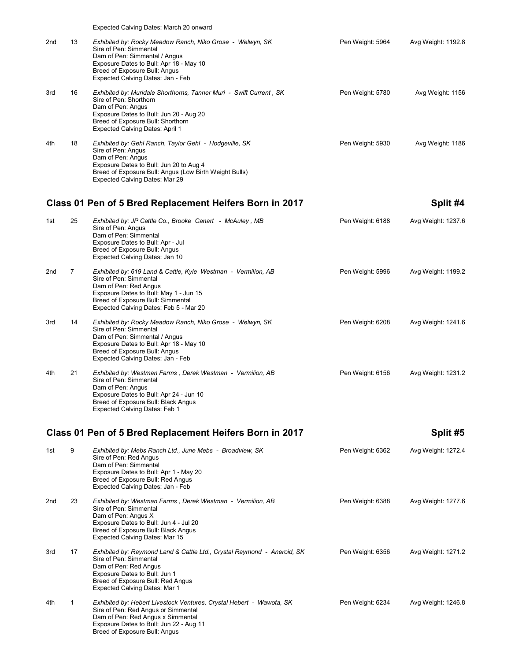|     |                | Expected Calving Dates: March 20 onward                                                                                                                                                                                                   |                  |                    |
|-----|----------------|-------------------------------------------------------------------------------------------------------------------------------------------------------------------------------------------------------------------------------------------|------------------|--------------------|
| 2nd | 13             | Exhibited by: Rocky Meadow Ranch, Niko Grose - Welwyn, SK<br>Sire of Pen: Simmental<br>Dam of Pen: Simmental / Angus<br>Exposure Dates to Bull: Apr 18 - May 10<br>Breed of Exposure Bull: Angus<br>Expected Calving Dates: Jan - Feb     | Pen Weight: 5964 | Avg Weight: 1192.8 |
| 3rd | 16             | Exhibited by: Muridale Shorthorns, Tanner Muri - Swift Current, SK<br>Sire of Pen: Shorthorn<br>Dam of Pen: Angus<br>Exposure Dates to Bull: Jun 20 - Aug 20<br>Breed of Exposure Bull: Shorthorn<br>Expected Calving Dates: April 1      | Pen Weight: 5780 | Avg Weight: 1156   |
| 4th | 18             | Exhibited by: Gehl Ranch, Taylor Gehl - Hodgeville, SK<br>Sire of Pen: Angus<br>Dam of Pen: Angus<br>Exposure Dates to Bull: Jun 20 to Aug 4<br>Breed of Exposure Bull: Angus (Low Birth Weight Bulls)<br>Expected Calving Dates: Mar 29  | Pen Weight: 5930 | Avg Weight: 1186   |
|     |                | Class 01 Pen of 5 Bred Replacement Heifers Born in 2017                                                                                                                                                                                   |                  | Split #4           |
| 1st | 25             | Exhibited by: JP Cattle Co., Brooke Canart - McAuley, MB<br>Sire of Pen: Angus<br>Dam of Pen: Simmental<br>Exposure Dates to Bull: Apr - Jul<br>Breed of Exposure Bull: Angus<br>Expected Calving Dates: Jan 10                           | Pen Weight: 6188 | Avg Weight: 1237.6 |
| 2nd | $\overline{7}$ | Exhibited by: 619 Land & Cattle, Kyle Westman - Vermilion, AB<br>Sire of Pen: Simmental<br>Dam of Pen: Red Angus<br>Exposure Dates to Bull: May 1 - Jun 15<br>Breed of Exposure Bull: Simmental<br>Expected Calving Dates: Feb 5 - Mar 20 | Pen Weight: 5996 | Avg Weight: 1199.2 |
| 3rd | 14             | Exhibited by: Rocky Meadow Ranch, Niko Grose - Welwyn, SK<br>Sire of Pen: Simmental<br>Dam of Pen: Simmental / Angus<br>Exposure Dates to Bull: Apr 18 - May 10<br>Breed of Exposure Bull: Angus<br>Expected Calving Dates: Jan - Feb     | Pen Weight: 6208 | Avg Weight: 1241.6 |
| 4th | 21             | Exhibited by: Westman Farms, Derek Westman - Vermilion, AB<br>Sire of Pen: Simmental<br>Dam of Pen: Angus<br>Exposure Dates to Bull: Apr 24 - Jun 10<br>Breed of Exposure Bull: Black Angus<br><b>Expected Calving Dates: Feb 1</b>       | Pen Weight: 6156 | Avg Weight: 1231.2 |
|     |                | Class 01 Pen of 5 Bred Replacement Heifers Born in 2017                                                                                                                                                                                   |                  | Split #5           |
| 1st | 9              | Exhibited by: Mebs Ranch Ltd., June Mebs - Broadview, SK<br>Sire of Pen: Red Angus<br>Dam of Pen: Simmental<br>Exposure Dates to Bull: Apr 1 - May 20<br>Breed of Exposure Bull: Red Angus<br>Expected Calving Dates: Jan - Feb           | Pen Weight: 6362 | Avg Weight: 1272.4 |
| 2nd | 23             | Exhibited by: Westman Farms, Derek Westman - Vermilion, AB<br>Sire of Pen: Simmental<br>Dam of Pen: Angus X<br>Exposure Dates to Bull: Jun 4 - Jul 20<br>Breed of Exposure Bull: Black Angus<br>Expected Calving Dates: Mar 15            | Pen Weight: 6388 | Avg Weight: 1277.6 |
| 3rd | 17             | Exhibited by: Raymond Land & Cattle Ltd., Crystal Raymond - Aneroid, SK<br>Sire of Pen: Simmental<br>Dam of Pen: Red Angus<br>Exposure Dates to Bull: Jun 1<br>Breed of Exposure Bull: Red Angus<br>Expected Calving Dates: Mar 1         | Pen Weight: 6356 | Avg Weight: 1271.2 |
| 4th | 1              | Exhibited by: Hebert Livestock Ventures, Crystal Hebert - Wawota, SK<br>Sire of Pen: Red Angus or Simmental<br>Dam of Pen: Red Angus x Simmental<br>Exposure Dates to Bull: Jun 22 - Aug 11<br>Breed of Exposure Bull: Angus              | Pen Weight: 6234 | Avg Weight: 1246.8 |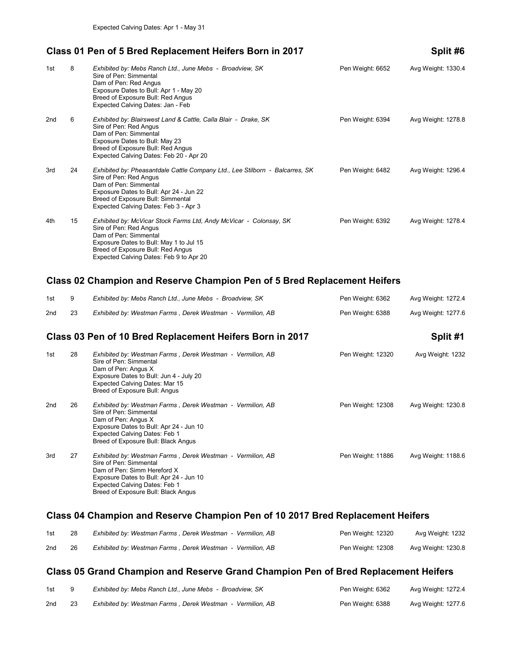#### Class 01 Pen of 5 Bred Replacement Heifers Born in 2017 Split #6

| 1st | 8  | Exhibited by: Mebs Ranch Ltd., June Mebs - Broadview, SK<br>Sire of Pen: Simmental<br>Dam of Pen: Red Angus<br>Exposure Dates to Bull: Apr 1 - May 20<br>Breed of Exposure Bull: Red Angus<br>Expected Calving Dates: Jan - Feb                          | Pen Weight: 6652 | Avg Weight: 1330.4 |
|-----|----|----------------------------------------------------------------------------------------------------------------------------------------------------------------------------------------------------------------------------------------------------------|------------------|--------------------|
| 2nd | 6  | Exhibited by: Blairswest Land & Cattle, Calla Blair - Drake, SK<br>Sire of Pen: Red Angus<br>Dam of Pen: Simmental<br>Exposure Dates to Bull: May 23<br>Breed of Exposure Bull: Red Angus<br>Expected Calving Dates: Feb 20 - Apr 20                     | Pen Weight: 6394 | Avg Weight: 1278.8 |
| 3rd | 24 | Exhibited by: Pheasantdale Cattle Company Ltd., Lee Stilborn - Balcarres, SK<br>Sire of Pen: Red Angus<br>Dam of Pen: Simmental<br>Exposure Dates to Bull: Apr 24 - Jun 22<br>Breed of Exposure Bull: Simmental<br>Expected Calving Dates: Feb 3 - Apr 3 | Pen Weight: 6482 | Avg Weight: 1296.4 |
| 4th | 15 | Exhibited by: McVicar Stock Farms Ltd, Andy McVicar - Colonsay, SK<br>Sire of Pen: Red Angus<br>Dam of Pen: Simmental<br>Exposure Dates to Bull: May 1 to Jul 15<br>Breed of Exposure Bull: Red Angus<br>Expected Calving Dates: Feb 9 to Apr 20         | Pen Weight: 6392 | Avg Weight: 1278.4 |

### **Class 02 Champion and Reserve Champion Pen of 5 Bred Replacement Heifers**

|     |    | Class 03 Pen of 10 Bred Replacement Heifers Born in 2017   |                  | Split #1           |
|-----|----|------------------------------------------------------------|------------------|--------------------|
| 2nd | 23 | Exhibited by: Westman Farms, Derek Westman - Vermilion, AB | Pen Weight: 6388 | Avg Weight: 1277.6 |
| 1st |    | Exhibited by: Mebs Ranch Ltd., June Mebs - Broadview, SK   | Pen Weight: 6362 | Avg Weight: 1272.4 |

| 1st | 28 | Exhibited by: Westman Farms, Derek Westman - Vermilion, AB<br>Sire of Pen: Simmental<br>Dam of Pen: Angus X<br>Exposure Dates to Bull: Jun 4 - July 20<br>Expected Calving Dates: Mar 15<br>Breed of Exposure Bull: Angus              | Pen Weight: 12320 | Avg Weight: 1232   |
|-----|----|----------------------------------------------------------------------------------------------------------------------------------------------------------------------------------------------------------------------------------------|-------------------|--------------------|
| 2nd | 26 | Exhibited by: Westman Farms, Derek Westman - Vermilion, AB<br>Sire of Pen: Simmental<br>Dam of Pen: Angus X<br>Exposure Dates to Bull: Apr 24 - Jun 10<br>Expected Calving Dates: Feb 1<br>Breed of Exposure Bull: Black Angus         | Pen Weight: 12308 | Avg Weight: 1230.8 |
| 3rd | 27 | Exhibited by: Westman Farms, Derek Westman - Vermilion, AB<br>Sire of Pen: Simmental<br>Dam of Pen: Simm Hereford X<br>Exposure Dates to Bull: Apr 24 - Jun 10<br>Expected Calving Dates: Feb 1<br>Breed of Exposure Bull: Black Angus | Pen Weight: 11886 | Avg Weight: 1188.6 |

# **Class 04 Champion and Reserve Champion Pen of 10 2017 Bred Replacement Heifers**

| 1st | Exhibited by: Westman Farms, Derek Westman - Vermilion, AB | Pen Weight: 12320 | Avg Weight: 1232   |
|-----|------------------------------------------------------------|-------------------|--------------------|
| 2nd | Exhibited by: Westman Farms, Derek Westman - Vermilion, AB | Pen Weight: 12308 | Avg Weight: 1230.8 |

#### **Class 05 Grand Champion and Reserve Grand Champion Pen of Bred Replacement Heifers**

| 1st | Exhibited by: Mebs Ranch Ltd., June Mebs - Broadview, SK   | Pen Weight: 6362 | Avg Weight: 1272.4 |
|-----|------------------------------------------------------------|------------------|--------------------|
| 2nd | Exhibited by: Westman Farms, Derek Westman - Vermilion, AB | Pen Weight: 6388 | Avg Weight: 1277.6 |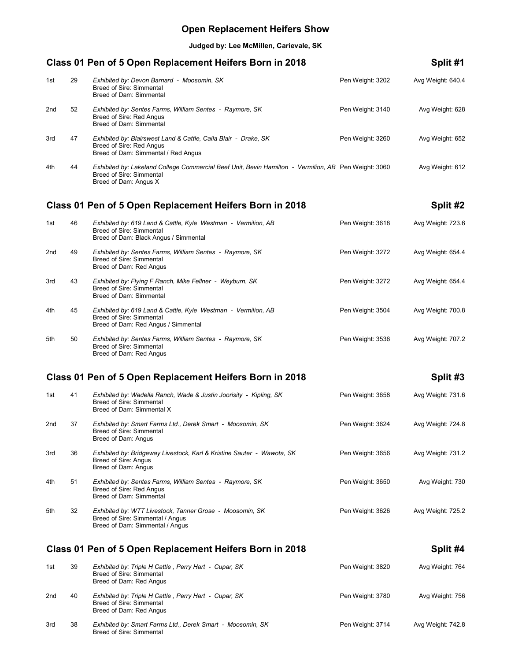# **Open Replacement Heifers Show**

**Judged by: Lee McMillen, Carievale, SK**

| Class 01 Pen of 5 Open Replacement Heifers Born in 2018 |                                                                     |                                                                                                                                                                  |                  |                   |  |
|---------------------------------------------------------|---------------------------------------------------------------------|------------------------------------------------------------------------------------------------------------------------------------------------------------------|------------------|-------------------|--|
| 1st                                                     | 29                                                                  | Exhibited by: Devon Barnard - Moosomin, SK<br>Breed of Sire: Simmental<br>Breed of Dam: Simmental                                                                | Pen Weight: 3202 | Avg Weight: 640.4 |  |
| 2nd                                                     | 52                                                                  | Exhibited by: Sentes Farms, William Sentes - Raymore, SK<br>Breed of Sire: Red Angus<br>Breed of Dam: Simmental                                                  | Pen Weight: 3140 | Avg Weight: 628   |  |
| 3rd                                                     | 47                                                                  | Exhibited by: Blairswest Land & Cattle, Calla Blair - Drake, SK<br>Breed of Sire: Red Angus<br>Breed of Dam: Simmental / Red Angus                               | Pen Weight: 3260 | Avg Weight: 652   |  |
| 4th                                                     | 44                                                                  | Exhibited by: Lakeland College Commercial Beef Unit, Bevin Hamilton - Vermilion, AB Pen Weight: 3060<br><b>Breed of Sire: Simmental</b><br>Breed of Dam: Angus X |                  | Avg Weight: 612   |  |
|                                                         |                                                                     | Class 01 Pen of 5 Open Replacement Heifers Born in 2018                                                                                                          |                  | Split #2          |  |
| 1st                                                     | 46                                                                  | Exhibited by: 619 Land & Cattle, Kyle Westman - Vermilion, AB<br><b>Breed of Sire: Simmental</b><br>Breed of Dam: Black Angus / Simmental                        | Pen Weight: 3618 | Avg Weight: 723.6 |  |
| 2nd                                                     | 49                                                                  | Exhibited by: Sentes Farms, William Sentes - Raymore, SK<br>Breed of Sire: Simmental<br>Breed of Dam: Red Angus                                                  | Pen Weight: 3272 | Avg Weight: 654.4 |  |
| 3rd                                                     | 43                                                                  | Exhibited by: Flying F Ranch, Mike Fellner - Weyburn, SK<br>Breed of Sire: Simmental<br>Breed of Dam: Simmental                                                  | Pen Weight: 3272 | Avg Weight: 654.4 |  |
| 4th                                                     | 45                                                                  | Exhibited by: 619 Land & Cattle, Kyle Westman - Vermilion, AB<br>Breed of Sire: Simmental<br>Breed of Dam: Red Angus / Simmental                                 | Pen Weight: 3504 | Avg Weight: 700.8 |  |
| 5th                                                     | 50                                                                  | Exhibited by: Sentes Farms, William Sentes - Raymore, SK<br>Breed of Sire: Simmental<br>Breed of Dam: Red Angus                                                  | Pen Weight: 3536 | Avg Weight: 707.2 |  |
|                                                         |                                                                     | Class 01 Pen of 5 Open Replacement Heifers Born in 2018                                                                                                          |                  | Split #3          |  |
| 1st                                                     | 41                                                                  | Exhibited by: Wadella Ranch, Wade & Justin Joorisity - Kipling, SK<br><b>Breed of Sire: Simmental</b><br>Breed of Dam: Simmental X                               | Pen Weight: 3658 | Avg Weight: 731.6 |  |
| 2nd                                                     | 37                                                                  | Exhibited by: Smart Farms Ltd., Derek Smart - Moosomin, SK<br>Breed of Sire: Simmental<br>Breed of Dam: Angus                                                    | Pen Weight: 3624 | Avg Weight: 724.8 |  |
| 3rd                                                     | 36                                                                  | Exhibited by: Bridgeway Livestock, Karl & Kristine Sauter - Wawota, SK<br>Breed of Sire: Angus<br>Breed of Dam: Angus                                            | Pen Weight: 3656 | Avg Weight: 731.2 |  |
| 4th                                                     | 51                                                                  | Exhibited by: Sentes Farms, William Sentes - Raymore, SK<br>Breed of Sire: Red Angus<br>Breed of Dam: Simmental                                                  | Pen Weight: 3650 | Avg Weight: 730   |  |
| 5th                                                     | 32                                                                  | Exhibited by: WTT Livestock, Tanner Grose - Moosomin, SK<br>Breed of Sire: Simmental / Angus<br>Breed of Dam: Simmental / Angus                                  | Pen Weight: 3626 | Avg Weight: 725.2 |  |
|                                                         | Class 01 Pen of 5 Open Replacement Heifers Born in 2018<br>Split #4 |                                                                                                                                                                  |                  |                   |  |
| 1st                                                     | 39                                                                  | Exhibited by: Triple H Cattle, Perry Hart - Cupar, SK<br><b>Breed of Sire: Simmental</b><br>Breed of Dam: Red Angus                                              | Pen Weight: 3820 | Avg Weight: 764   |  |
| 2nd                                                     | 40                                                                  | Exhibited by: Triple H Cattle, Perry Hart - Cupar, SK<br><b>Breed of Sire: Simmental</b><br>Breed of Dam: Red Angus                                              | Pen Weight: 3780 | Avg Weight: 756   |  |
| 3rd                                                     | 38                                                                  | Exhibited by: Smart Farms Ltd., Derek Smart - Moosomin, SK<br>Breed of Sire: Simmental                                                                           | Pen Weight: 3714 | Avg Weight: 742.8 |  |